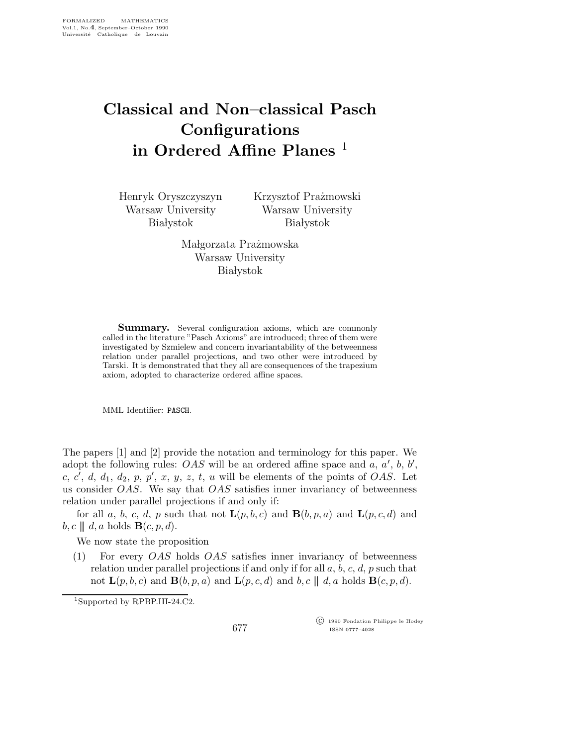## Classical and Non–classical Pasch **Configurations** in Ordered Affine Planes<sup>1</sup>

Henryk Oryszczyszyn Warsaw University **Białystok** 

Krzysztof Prażmowski Warsaw University **Białystok** 

Małgorzata Prażmowska Warsaw University **Białystok** 

Summary. Several configuration axioms, which are commonly called in the literature "Pasch Axioms" are introduced; three of them were investigated by Szmielew and concern invariantability of the betweenness relation under parallel projections, and two other were introduced by Tarski. It is demonstrated that they all are consequences of the trapezium axiom, adopted to characterize ordered affine spaces.

MML Identifier: PASCH.

The papers [1] and [2] provide the notation and terminology for this paper. We adopt the following rules: *OAS* will be an ordered affine space and  $\overline{a}$ ,  $\overline{a}'$ ,  $\overline{b}$ ,  $\overline{b}'$ , c, c', d, d<sub>1</sub>, d<sub>2</sub>, p, p', x, y, z, t, u will be elements of the points of OAS. Let us consider  $OAS$ . We say that  $OAS$  satisfies inner invariancy of betweenness relation under parallel projections if and only if:

for all a, b, c, d, p such that not  $\mathbf{L}(p,b,c)$  and  $\mathbf{B}(b,p,a)$  and  $\mathbf{L}(p,c,d)$  and  $b, c \parallel d, a$  holds  $\mathbf{B}(c, p, d)$ .

We now state the proposition

 $(1)$  For every *OAS* holds *OAS* satisfies inner invariancy of betweenness relation under parallel projections if and only if for all  $a, b, c, d, p$  such that not  $\mathbf{L}(p,b,c)$  and  $\mathbf{B}(b,p,a)$  and  $\mathbf{L}(p,c,d)$  and  $b,c \parallel d,a$  holds  $\mathbf{B}(c,p,d)$ .

<sup>1</sup>Supported by RPBP.III-24.C2.

 c 1990 Fondation Philippe le Hodey ISSN 0777–4028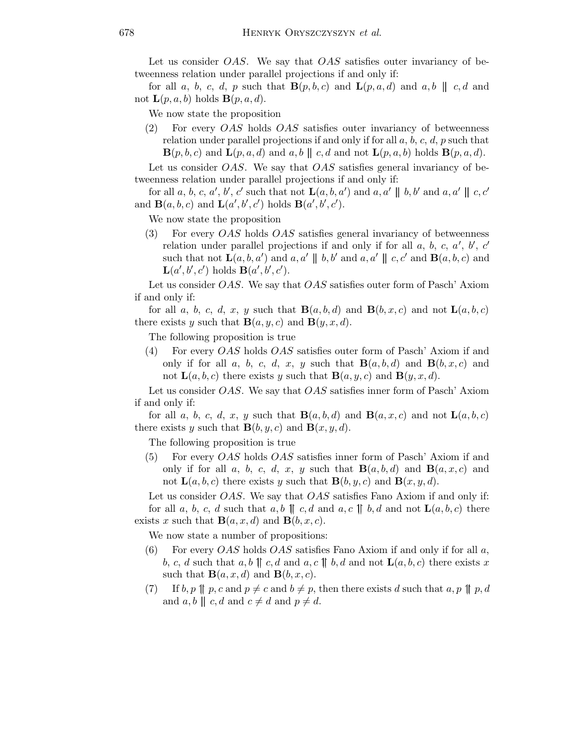Let us consider *OAS*. We say that *OAS* satisfies outer invariancy of betweenness relation under parallel projections if and only if:

for all a, b, c, d, p such that  $\mathbf{B}(p,b,c)$  and  $\mathbf{L}(p,a,d)$  and a, b  $||c,d|$  and not  $\mathbf{L}(p,a,b)$  holds  $\mathbf{B}(p,a,d)$ .

We now state the proposition

(2) For every OAS holds OAS satisfies outer invariancy of betweenness relation under parallel projections if and only if for all  $a, b, c, d, p$  such that  $\mathbf{B}(p,b,c)$  and  $\mathbf{L}(p,a,d)$  and  $a,b \parallel c,d$  and not  $\mathbf{L}(p,a,b)$  holds  $\mathbf{B}(p,a,d)$ .

Let us consider *OAS*. We say that *OAS* satisfies general invariancy of betweenness relation under parallel projections if and only if:

for all a, b, c, a', b', c' such that not  $\mathbf{L}(a, b, a')$  and  $a, a' \parallel b, b'$  and  $a, a' \parallel c, c'$ and  $\mathbf{B}(a, b, c)$  and  $\mathbf{L}(a', b', c')$  holds  $\mathbf{B}(a', b', c')$ .

We now state the proposition

(3) For every OAS holds OAS satisfies general invariancy of betweenness relation under parallel projections if and only if for all  $a, b, c, a', b', c'$ such that not  $\mathbf{L}(a, b, a')$  and  $a, a' \parallel b, b'$  and  $a, a' \parallel c, c'$  and  $\mathbf{B}(a, b, c)$  and  $\mathbf{L}(a',b',c')$  holds  $\mathbf{B}(a',b',c')$ .

Let us consider OAS. We say that OAS satisfies outer form of Pasch' Axiom if and only if:

for all a, b, c, d, x, y such that  $\mathbf{B}(a,b,d)$  and  $\mathbf{B}(b,x,c)$  and not  $\mathbf{L}(a,b,c)$ there exists y such that  $\mathbf{B}(a,y,c)$  and  $\mathbf{B}(y,x,d)$ .

The following proposition is true

(4) For every OAS holds OAS satisfies outer form of Pasch' Axiom if and only if for all a, b, c, d, x, y such that  $B(a, b, d)$  and  $B(b, x, c)$  and not  $\mathbf{L}(a,b,c)$  there exists y such that  $\mathbf{B}(a,y,c)$  and  $\mathbf{B}(y,x,d)$ .

Let us consider *OAS*. We say that *OAS* satisfies inner form of Pasch' Axiom if and only if:

for all a, b, c, d, x, y such that  $\mathbf{B}(a,b,d)$  and  $\mathbf{B}(a,x,c)$  and not  $\mathbf{L}(a,b,c)$ there exists y such that  $\mathbf{B}(b, y, c)$  and  $\mathbf{B}(x, y, d)$ .

The following proposition is true

(5) For every OAS holds OAS satisfies inner form of Pasch' Axiom if and only if for all a, b, c, d, x, y such that  $B(a, b, d)$  and  $B(a, x, c)$  and not  $\mathbf{L}(a,b,c)$  there exists y such that  $\mathbf{B}(b,y,c)$  and  $\mathbf{B}(x,y,d)$ .

Let us consider *OAS*. We say that *OAS* satisfies Fano Axiom if and only if: for all a, b, c, d such that a,b  $\parallel c, d$  and a,c  $\parallel b, d$  and not  $\mathbf{L}(a, b, c)$  there exists x such that  $\mathbf{B}(a,x,d)$  and  $\mathbf{B}(b,x,c)$ .

We now state a number of propositions:

- (6) For every *OAS* holds *OAS* satisfies Fano Axiom if and only if for all  $a$ , b, c, d such that a, b  $\parallel c, d$  and a, c  $\parallel b, d$  and not  $\mathbf{L}(a,b,c)$  there exists x such that  $\mathbf{B}(a,x,d)$  and  $\mathbf{B}(b,x,c)$ .
- (7) If  $b, p \parallel p, c$  and  $p \neq c$  and  $b \neq p$ , then there exists d such that  $a, p \parallel p, d$ and  $a, b \parallel c, d$  and  $c \neq d$  and  $p \neq d$ .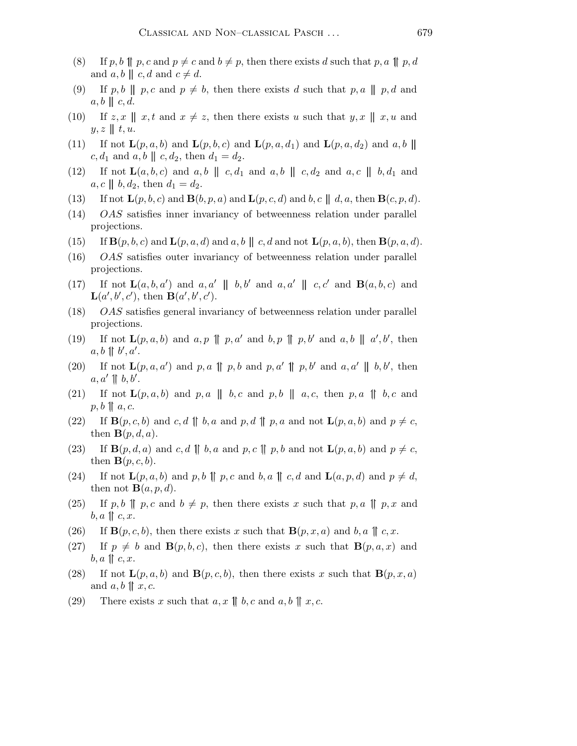- (8) If p, b  $\parallel p, c$  and  $p \neq c$  and  $b \neq p$ , then there exists d such that p, a  $\parallel p, d$ and  $a, b \parallel c, d$  and  $c \neq d$ .
- (9) If p,b || p,c and  $p \neq b$ , then there exists d such that p,a || p,d and  $a, b \parallel c, d.$
- (10) If  $z, x \parallel x, t$  and  $x \neq z$ , then there exists u such that  $y, x \parallel x, u$  and  $y, z \parallel t, u.$
- (11) If not  $\mathbf{L}(p,a,b)$  and  $\mathbf{L}(p,b,c)$  and  $\mathbf{L}(p,a,d_1)$  and  $\mathbf{L}(p,a,d_2)$  and  $a,b$  $c, d_1$  and  $a, b \parallel c, d_2$ , then  $d_1 = d_2$ .
- (12) If not  $\mathbf{L}(a,b,c)$  and  $a,b \parallel c,d_1$  and  $a,b \parallel c,d_2$  and  $a,c \parallel b,d_1$  and  $a, c \parallel b, d_2$ , then  $d_1 = d_2$ .
- (13) If not  $\mathbf{L}(p,b,c)$  and  $\mathbf{B}(b,p,a)$  and  $\mathbf{L}(p,c,d)$  and  $b,c \parallel d,a$ , then  $\mathbf{B}(c,p,d)$ .
- (14) OAS satisfies inner invariancy of betweenness relation under parallel projections.
- (15) If  $\mathbf{B}(p,b,c)$  and  $\mathbf{L}(p,a,d)$  and  $a,b \parallel c,d$  and not  $\mathbf{L}(p,a,b)$ , then  $\mathbf{B}(p,a,d)$ .
- (16) OAS satisfies outer invariancy of betweenness relation under parallel projections.
- (17) If not  $\mathbf{L}(a, b, a')$  and  $a, a' \parallel b, b'$  and  $a, a' \parallel c, c'$  and  $\mathbf{B}(a, b, c)$  and  $\mathbf{L}(a',b',c')$ , then  $\mathbf{B}(a',b',c')$ .
- (18) OAS satisfies general invariancy of betweenness relation under parallel projections.
- (19) If not  $\mathbf{L}(p,a,b)$  and  $a,p \parallel p,a'$  and  $b,p \parallel p,b'$  and  $a,b \parallel a',b'$ , then  $a, b \parallel b', a'$ .
- (20) If not  $\mathbf{L}(p,a,a')$  and p,a  $\parallel p,b$  and p,a'  $\parallel p,b'$  and a,a'  $\parallel b,b'$ , then  $a, a' \parallel b, b'.$
- (21) If not  $\mathbf{L}(p,a,b)$  and p, a || b, c and p, b || a, c, then p, a || b, c and  $p, b \parallel a, c.$
- (22) If  $\mathbf{B}(p,c,b)$  and c,d  $\parallel b,a$  and p,d  $\parallel p,a$  and not  $\mathbf{L}(p,a,b)$  and  $p \neq c$ , then  $\mathbf{B}(p,d,a)$ .
- (23) If  $\mathbf{B}(p,d,a)$  and c, d  $\parallel$  b, a and p, c  $\parallel$  p, b and not  $\mathbf{L}(p,a,b)$  and  $p \neq c$ , then  $\mathbf{B}(p,c,b)$ .
- (24) If not  $\mathbf{L}(p,a,b)$  and p, b  $\parallel p, c$  and b, a  $\parallel c, d$  and  $\mathbf{L}(a,p,d)$  and  $p \neq d$ , then not  $\mathbf{B}(a,p,d)$ .
- (25) If p,b  $\parallel p, c$  and  $b \neq p$ , then there exists x such that p,a  $\parallel p, x$  and  $b, a \parallel c, x.$
- (26) If  $\mathbf{B}(p,c,b)$ , then there exists x such that  $\mathbf{B}(p,x,a)$  and b, a  $\parallel c,x$ .
- (27) If  $p \neq b$  and  $\mathbf{B}(p,b,c)$ , then there exists x such that  $\mathbf{B}(p,a,x)$  and  $b, a \parallel c, x.$
- (28) If not  $\mathbf{L}(p,a,b)$  and  $\mathbf{B}(p,c,b)$ , then there exists x such that  $\mathbf{B}(p,x,a)$ and  $a, b \parallel x, c$ .
- (29) There exists x such that  $a, x \parallel b, c$  and  $a, b \parallel x, c$ .